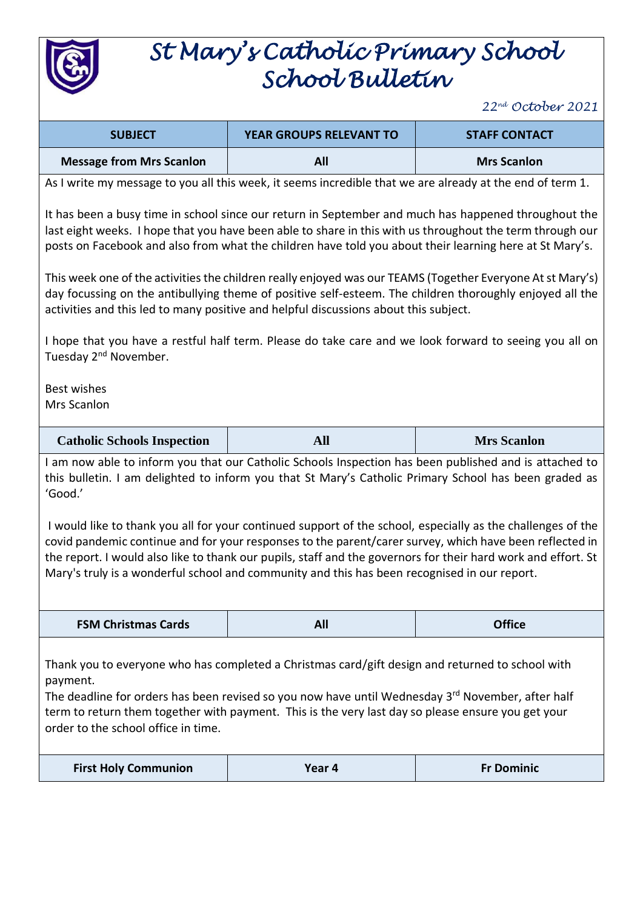

## *St Mary's Catholic Primary School School Bulletin*

*22 nd October 2021*

| <b>SUBJECT</b>                                                                                                                                                                                                                                                                                                                                                                                                                          | <b>YEAR GROUPS RELEVANT TO</b>                                                                            | <b>STAFF CONTACT</b> |  |  |
|-----------------------------------------------------------------------------------------------------------------------------------------------------------------------------------------------------------------------------------------------------------------------------------------------------------------------------------------------------------------------------------------------------------------------------------------|-----------------------------------------------------------------------------------------------------------|----------------------|--|--|
| <b>Message from Mrs Scanlon</b>                                                                                                                                                                                                                                                                                                                                                                                                         | All                                                                                                       | <b>Mrs Scanlon</b>   |  |  |
|                                                                                                                                                                                                                                                                                                                                                                                                                                         | As I write my message to you all this week, it seems incredible that we are already at the end of term 1. |                      |  |  |
| It has been a busy time in school since our return in September and much has happened throughout the<br>last eight weeks. I hope that you have been able to share in this with us throughout the term through our<br>posts on Facebook and also from what the children have told you about their learning here at St Mary's.                                                                                                            |                                                                                                           |                      |  |  |
| This week one of the activities the children really enjoyed was our TEAMS (Together Everyone At st Mary's)<br>day focussing on the antibullying theme of positive self-esteem. The children thoroughly enjoyed all the<br>activities and this led to many positive and helpful discussions about this subject.                                                                                                                          |                                                                                                           |                      |  |  |
| Tuesday 2 <sup>nd</sup> November.                                                                                                                                                                                                                                                                                                                                                                                                       | I hope that you have a restful half term. Please do take care and we look forward to seeing you all on    |                      |  |  |
| <b>Best wishes</b><br>Mrs Scanlon                                                                                                                                                                                                                                                                                                                                                                                                       |                                                                                                           |                      |  |  |
| <b>Catholic Schools Inspection</b>                                                                                                                                                                                                                                                                                                                                                                                                      | <b>All</b>                                                                                                | <b>Mrs Scanlon</b>   |  |  |
| I am now able to inform you that our Catholic Schools Inspection has been published and is attached to<br>this bulletin. I am delighted to inform you that St Mary's Catholic Primary School has been graded as<br>'Good.'                                                                                                                                                                                                              |                                                                                                           |                      |  |  |
| I would like to thank you all for your continued support of the school, especially as the challenges of the<br>covid pandemic continue and for your responses to the parent/carer survey, which have been reflected in<br>the report. I would also like to thank our pupils, staff and the governors for their hard work and effort. St<br>Mary's truly is a wonderful school and community and this has been recognised in our report. |                                                                                                           |                      |  |  |
| <b>FSM Christmas Cards</b>                                                                                                                                                                                                                                                                                                                                                                                                              | All                                                                                                       | <b>Office</b>        |  |  |
| Thank you to everyone who has completed a Christmas card/gift design and returned to school with<br>payment.<br>The deadline for orders has been revised so you now have until Wednesday 3rd November, after half<br>term to return them together with payment. This is the very last day so please ensure you get your<br>order to the school office in time.                                                                          |                                                                                                           |                      |  |  |
| <b>First Holy Communion</b>                                                                                                                                                                                                                                                                                                                                                                                                             | Year 4                                                                                                    | <b>Fr Dominic</b>    |  |  |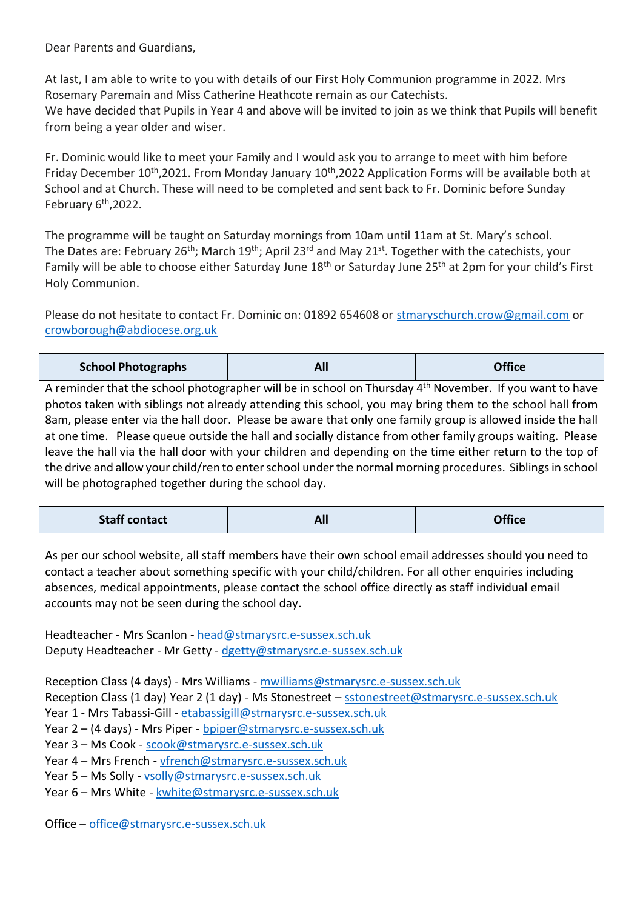Dear Parents and Guardians,

At last, I am able to write to you with details of our First Holy Communion programme in 2022. Mrs Rosemary Paremain and Miss Catherine Heathcote remain as our Catechists.

We have decided that Pupils in Year 4 and above will be invited to join as we think that Pupils will benefit from being a year older and wiser.

Fr. Dominic would like to meet your Family and I would ask you to arrange to meet with him before Friday December 10<sup>th</sup>,2021. From Monday January 10<sup>th</sup>,2022 Application Forms will be available both at School and at Church. These will need to be completed and sent back to Fr. Dominic before Sunday February 6<sup>th</sup>,2022.

The programme will be taught on Saturday mornings from 10am until 11am at St. Mary's school. The Dates are: February 26<sup>th</sup>; March 19<sup>th</sup>; April 23<sup>rd</sup> and May 21<sup>st</sup>. Together with the catechists, your Family will be able to choose either Saturday June 18<sup>th</sup> or Saturday June 25<sup>th</sup> at 2pm for your child's First Holy Communion.

Please do not hesitate to contact Fr. Dominic on: 01892 654608 or [stmaryschurch.crow@gmail.com](mailto:stmaryschurch.crow@gmail.com) or [crowborough@abdiocese.org.uk](mailto:crowborough@abdiocese.org.uk)

|--|

A reminder that the school photographer will be in school on Thursday 4th November. If you want to have photos taken with siblings not already attending this school, you may bring them to the school hall from 8am, please enter via the hall door. Please be aware that only one family group is allowed inside the hall at one time. Please queue outside the hall and socially distance from other family groups waiting. Please leave the hall via the hall door with your children and depending on the time either return to the top of the drive and allow your child/ren to enter school under the normal morning procedures. Siblings in school will be photographed together during the school day.

| <b>Staff contact</b> | <b>All</b> | <b>Office</b> |
|----------------------|------------|---------------|
|----------------------|------------|---------------|

As per our school website, all staff members have their own school email addresses should you need to contact a teacher about something specific with your child/children. For all other enquiries including absences, medical appointments, please contact the school office directly as staff individual email accounts may not be seen during the school day.

Headteacher - Mrs Scanlon - [head@stmarysrc.e-sussex.sch.uk](mailto:head@stmarysrc.e-sussex.sch.uk) Deputy Headteacher - Mr Getty - [dgetty@stmarysrc.e-sussex.sch.uk](mailto:dgetty@stmarysrc.e-sussex.sch.uk)

Reception Class (4 days) - Mrs Williams - [mwilliams@stmarysrc.e-sussex.sch.uk](mailto:mwilliams@stmarysrc.e-sussex.sch.uk) Reception Class (1 day) Year 2 (1 day) - Ms Stonestreet - [sstonestreet@stmarysrc.e-sussex.sch.uk](mailto:sstonestreet@stmarysrc.e-sussex.sch.uk) Year 1 - Mrs Tabassi-Gill - [etabassigill@stmarysrc.e-sussex.sch.uk](mailto:etabassigill@stmarysrc.e-sussex.sch.uk) Year 2 – (4 days) - Mrs Piper - [bpiper@stmarysrc.e-sussex.sch.uk](mailto:bpiper@stmarysrc.e-sussex.sch.uk) Year 3 – Ms Cook - [scook@stmarysrc.e-sussex.sch.uk](mailto:scook@stmarysrc.e-sussex.sch.uk) Year 4 – Mrs French - [vfrench@stmarysrc.e-sussex.sch.uk](mailto:vfrench@stmarysrc.e-sussex.sch.uk) Year 5 – Ms Solly - [vsolly@stmarysrc.e-sussex.sch.uk](mailto:vsolly@stmarysrc.e-sussex.sch.uk) Year 6 – Mrs White - [kwhite@stmarysrc.e-sussex.sch.uk](mailto:kwhite@stmarysrc.e-sussex.sch.uk)

Office – [office@stmarysrc.e-sussex.sch.uk](mailto:office@stmarysrc.e-sussex.sch.uk)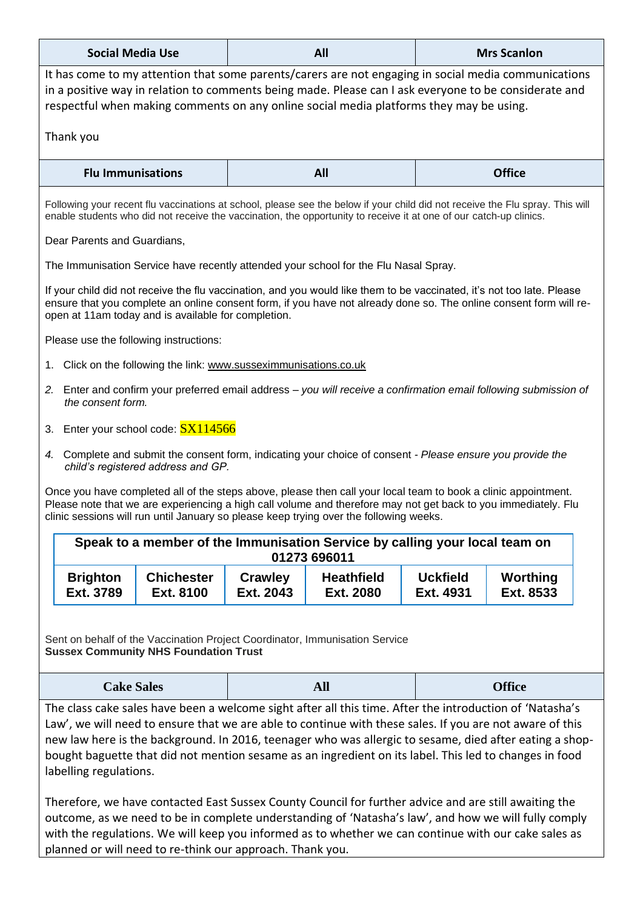| <b>Social Media Use</b>                                                                                                                                                                                                                                                                                                                                                                                                                                                                                                                                                      | All                                                                                         | <b>Mrs Scanlon</b>          |  |  |
|------------------------------------------------------------------------------------------------------------------------------------------------------------------------------------------------------------------------------------------------------------------------------------------------------------------------------------------------------------------------------------------------------------------------------------------------------------------------------------------------------------------------------------------------------------------------------|---------------------------------------------------------------------------------------------|-----------------------------|--|--|
| It has come to my attention that some parents/carers are not engaging in social media communications<br>in a positive way in relation to comments being made. Please can I ask everyone to be considerate and<br>respectful when making comments on any online social media platforms they may be using.                                                                                                                                                                                                                                                                     |                                                                                             |                             |  |  |
| Thank you                                                                                                                                                                                                                                                                                                                                                                                                                                                                                                                                                                    |                                                                                             |                             |  |  |
| <b>Flu Immunisations</b>                                                                                                                                                                                                                                                                                                                                                                                                                                                                                                                                                     | All                                                                                         | <b>Office</b>               |  |  |
| Following your recent flu vaccinations at school, please see the below if your child did not receive the Flu spray. This will<br>enable students who did not receive the vaccination, the opportunity to receive it at one of our catch-up clinics.                                                                                                                                                                                                                                                                                                                          |                                                                                             |                             |  |  |
| Dear Parents and Guardians,                                                                                                                                                                                                                                                                                                                                                                                                                                                                                                                                                  |                                                                                             |                             |  |  |
| The Immunisation Service have recently attended your school for the Flu Nasal Spray.                                                                                                                                                                                                                                                                                                                                                                                                                                                                                         |                                                                                             |                             |  |  |
| If your child did not receive the flu vaccination, and you would like them to be vaccinated, it's not too late. Please<br>ensure that you complete an online consent form, if you have not already done so. The online consent form will re-<br>open at 11am today and is available for completion.                                                                                                                                                                                                                                                                          |                                                                                             |                             |  |  |
| Please use the following instructions:                                                                                                                                                                                                                                                                                                                                                                                                                                                                                                                                       |                                                                                             |                             |  |  |
| 1. Click on the following the link: www.susseximmunisations.co.uk                                                                                                                                                                                                                                                                                                                                                                                                                                                                                                            |                                                                                             |                             |  |  |
| 2. Enter and confirm your preferred email address - you will receive a confirmation email following submission of<br>the consent form.                                                                                                                                                                                                                                                                                                                                                                                                                                       |                                                                                             |                             |  |  |
| 3. Enter your school code: SX114566                                                                                                                                                                                                                                                                                                                                                                                                                                                                                                                                          |                                                                                             |                             |  |  |
| 4. Complete and submit the consent form, indicating your choice of consent - Please ensure you provide the<br>child's registered address and GP.                                                                                                                                                                                                                                                                                                                                                                                                                             |                                                                                             |                             |  |  |
| Once you have completed all of the steps above, please then call your local team to book a clinic appointment.<br>Please note that we are experiencing a high call volume and therefore may not get back to you immediately. Flu<br>clinic sessions will run until January so please keep trying over the following weeks.                                                                                                                                                                                                                                                   |                                                                                             |                             |  |  |
|                                                                                                                                                                                                                                                                                                                                                                                                                                                                                                                                                                              | Speak to a member of the Immunisation Service by calling your local team on<br>01273 696011 |                             |  |  |
| <b>Brighton</b><br><b>Chichester</b>                                                                                                                                                                                                                                                                                                                                                                                                                                                                                                                                         | <b>Crawley</b><br><b>Heathfield</b>                                                         | <b>Uckfield</b><br>Worthing |  |  |
| Ext. 8100<br>Ext. 3789                                                                                                                                                                                                                                                                                                                                                                                                                                                                                                                                                       | Ext. 2080<br>Ext. 2043                                                                      | Ext. 4931<br>Ext. 8533      |  |  |
| Sent on behalf of the Vaccination Project Coordinator, Immunisation Service<br><b>Sussex Community NHS Foundation Trust</b>                                                                                                                                                                                                                                                                                                                                                                                                                                                  |                                                                                             |                             |  |  |
| <b>Cake Sales</b>                                                                                                                                                                                                                                                                                                                                                                                                                                                                                                                                                            | <b>All</b>                                                                                  | <b>Office</b>               |  |  |
| The class cake sales have been a welcome sight after all this time. After the introduction of 'Natasha's<br>Law', we will need to ensure that we are able to continue with these sales. If you are not aware of this<br>new law here is the background. In 2016, teenager who was allergic to sesame, died after eating a shop-<br>bought baguette that did not mention sesame as an ingredient on its label. This led to changes in food<br>labelling regulations.<br>Therefore, we have contacted East Sussex County Council for further advice and are still awaiting the |                                                                                             |                             |  |  |
| outcome, as we need to be in complete understanding of 'Natasha's law', and how we will fully comply<br>with the regulations. We will keep you informed as to whether we can continue with our cake sales as<br>planned or will need to re-think our approach. Thank you.                                                                                                                                                                                                                                                                                                    |                                                                                             |                             |  |  |